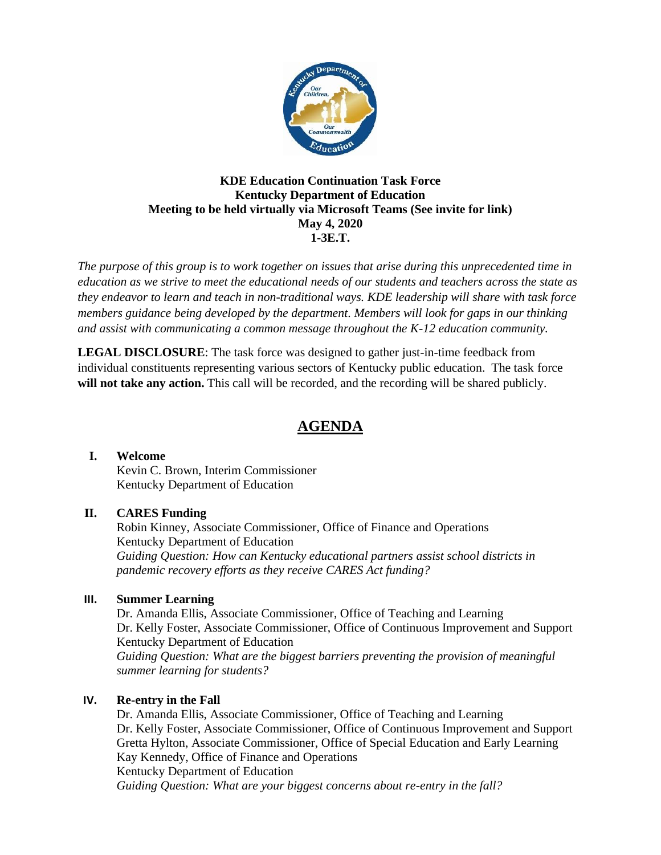

## **KDE Education Continuation Task Force Kentucky Department of Education Meeting to be held virtually via Microsoft Teams (See invite for link) May 4, 2020 1-3E.T.**

*The purpose of this group is to work together on issues that arise during this unprecedented time in education as we strive to meet the educational needs of our students and teachers across the state as they endeavor to learn and teach in non-traditional ways. KDE leadership will share with task force members guidance being developed by the department. Members will look for gaps in our thinking and assist with communicating a common message throughout the K-12 education community.*

**LEGAL DISCLOSURE**: The task force was designed to gather just-in-time feedback from individual constituents representing various sectors of Kentucky public education. The task force **will not take any action.** This call will be recorded, and the recording will be shared publicly.

# **AGENDA**

## **I. Welcome**

Kevin C. Brown, Interim Commissioner Kentucky Department of Education

# **II. CARES Funding**

Robin Kinney, Associate Commissioner, Office of Finance and Operations Kentucky Department of Education *Guiding Question: How can Kentucky educational partners assist school districts in pandemic recovery efforts as they receive CARES Act funding?*

## **III. Summer Learning**

Dr. Amanda Ellis, Associate Commissioner, Office of Teaching and Learning Dr. Kelly Foster, Associate Commissioner, Office of Continuous Improvement and Support Kentucky Department of Education *Guiding Question: What are the biggest barriers preventing the provision of meaningful summer learning for students?*

# **IV. Re-entry in the Fall**

Dr. Amanda Ellis, Associate Commissioner, Office of Teaching and Learning Dr. Kelly Foster, Associate Commissioner, Office of Continuous Improvement and Support Gretta Hylton, Associate Commissioner, Office of Special Education and Early Learning Kay Kennedy, Office of Finance and Operations Kentucky Department of Education *Guiding Question: What are your biggest concerns about re-entry in the fall?*